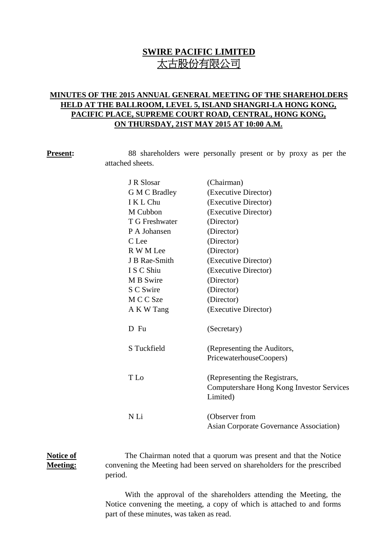# **SWIRE PACIFIC LIMITED** 太古股份有限公司

## **MINUTES OF THE 2015 ANNUAL GENERAL MEETING OF THE SHAREHOLDERS HELD AT THE BALLROOM, LEVEL 5, ISLAND SHANGRI-LA HONG KONG, PACIFIC PLACE, SUPREME COURT ROAD, CENTRAL, HONG KONG, ON THURSDAY, 21ST MAY 2015 AT 10:00 A.M.**

**Present:** 88 shareholders were personally present or by proxy as per the attached sheets.

| J R Slosar     | (Chairman)                                                       |
|----------------|------------------------------------------------------------------|
| G M C Bradley  | (Executive Director)                                             |
| I K L Chu      | (Executive Director)                                             |
| M Cubbon       | (Executive Director)                                             |
| T G Freshwater | (Director)                                                       |
| P A Johansen   | (Director)                                                       |
| C Lee          | (Director)                                                       |
| R W M Lee      | (Director)                                                       |
| J B Rae-Smith  | (Executive Director)                                             |
| I S C Shiu     | (Executive Director)                                             |
| M B Swire      | (Director)                                                       |
| S C Swire      | (Director)                                                       |
| M C C Sze      | (Director)                                                       |
| A K W Tang     | (Executive Director)                                             |
| D Fu           | (Secretary)                                                      |
| S Tuckfield    | (Representing the Auditors,                                      |
|                | PricewaterhouseCoopers)                                          |
| T Lo           | (Representing the Registrars,                                    |
|                | Computershare Hong Kong Investor Services<br>Limited)            |
| N Li           | (Observer from<br><b>Asian Corporate Governance Association)</b> |

### **Notice of Meeting:**

The Chairman noted that a quorum was present and that the Notice convening the Meeting had been served on shareholders for the prescribed period.

With the approval of the shareholders attending the Meeting, the Notice convening the meeting, a copy of which is attached to and forms part of these minutes, was taken as read.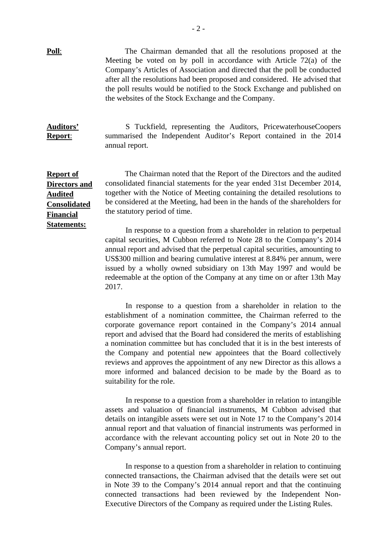**Poll:** The Chairman demanded that all the resolutions proposed at the Meeting be voted on by poll in accordance with Article 72(a) of the Company's Articles of Association and directed that the poll be conducted after all the resolutions had been proposed and considered. He advised that the poll results would be notified to the Stock Exchange and published on the websites of the Stock Exchange and the Company.

**Auditors' Report**: S Tuckfield, representing the Auditors, PricewaterhouseCoopers summarised the Independent Auditor's Report contained in the 2014 annual report.

**Report of Directors and Audited Consolidated Financial Statements:**

The Chairman noted that the Report of the Directors and the audited consolidated financial statements for the year ended 31st December 2014, together with the Notice of Meeting containing the detailed resolutions to be considered at the Meeting, had been in the hands of the shareholders for the statutory period of time.

In response to a question from a shareholder in relation to perpetual capital securities, M Cubbon referred to Note 28 to the Company's 2014 annual report and advised that the perpetual capital securities, amounting to US\$300 million and bearing cumulative interest at 8.84% per annum, were issued by a wholly owned subsidiary on 13th May 1997 and would be redeemable at the option of the Company at any time on or after 13th May 2017.

In response to a question from a shareholder in relation to the establishment of a nomination committee, the Chairman referred to the corporate governance report contained in the Company's 2014 annual report and advised that the Board had considered the merits of establishing a nomination committee but has concluded that it is in the best interests of the Company and potential new appointees that the Board collectively reviews and approves the appointment of any new Director as this allows a more informed and balanced decision to be made by the Board as to suitability for the role.

In response to a question from a shareholder in relation to intangible assets and valuation of financial instruments, M Cubbon advised that details on intangible assets were set out in Note 17 to the Company's 2014 annual report and that valuation of financial instruments was performed in accordance with the relevant accounting policy set out in Note 20 to the Company's annual report.

In response to a question from a shareholder in relation to continuing connected transactions, the Chairman advised that the details were set out in Note 39 to the Company's 2014 annual report and that the continuing connected transactions had been reviewed by the Independent Non-Executive Directors of the Company as required under the Listing Rules.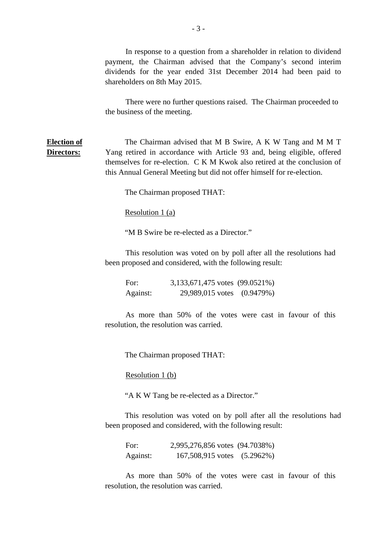In response to a question from a shareholder in relation to dividend payment, the Chairman advised that the Company's second interim dividends for the year ended 31st December 2014 had been paid to shareholders on 8th May 2015.

There were no further questions raised. The Chairman proceeded to the business of the meeting.

**Election of Directors:** The Chairman advised that M B Swire, A K W Tang and M M T Yang retired in accordance with Article 93 and, being eligible, offered themselves for re-election. C K M Kwok also retired at the conclusion of this Annual General Meeting but did not offer himself for re-election.

The Chairman proposed THAT:

Resolution 1 (a)

"M B Swire be re-elected as a Director."

This resolution was voted on by poll after all the resolutions had been proposed and considered, with the following result:

For: 3,133,671,475 votes (99.0521%) Against: 29,989,015 votes (0.9479%)

As more than 50% of the votes were cast in favour of this resolution, the resolution was carried.

The Chairman proposed THAT:

Resolution 1 (b)

"A K W Tang be re-elected as a Director."

This resolution was voted on by poll after all the resolutions had been proposed and considered, with the following result:

For: 2,995,276,856 votes (94.7038%) Against: 167,508,915 votes (5.2962%)

As more than 50% of the votes were cast in favour of this resolution, the resolution was carried.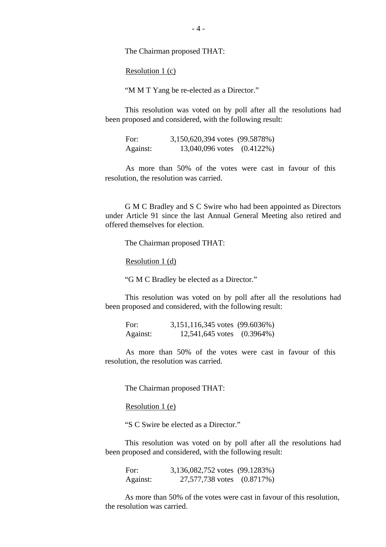The Chairman proposed THAT:

Resolution 1 (c)

"M M T Yang be re-elected as a Director."

This resolution was voted on by poll after all the resolutions had been proposed and considered, with the following result:

For: 3,150,620,394 votes (99.5878%) Against: 13,040,096 votes (0.4122%)

As more than 50% of the votes were cast in favour of this resolution, the resolution was carried.

 G M C Bradley and S C Swire who had been appointed as Directors under Article 91 since the last Annual General Meeting also retired and offered themselves for election.

The Chairman proposed THAT:

Resolution 1 (d)

"G M C Bradley be elected as a Director."

This resolution was voted on by poll after all the resolutions had been proposed and considered, with the following result:

| For:     | $3,151,116,345$ votes $(99.6036%)$ |  |
|----------|------------------------------------|--|
| Against: | 12,541,645 votes (0.3964%)         |  |

As more than 50% of the votes were cast in favour of this resolution, the resolution was carried.

The Chairman proposed THAT:

Resolution 1 (e)

"S C Swire be elected as a Director."

This resolution was voted on by poll after all the resolutions had been proposed and considered, with the following result:

For: 3,136,082,752 votes (99.1283%) Against: 27,577,738 votes (0.8717%)

As more than 50% of the votes were cast in favour of this resolution, the resolution was carried.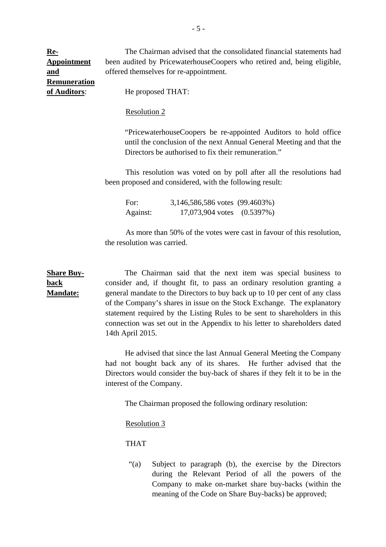The Chairman advised that the consolidated financial statements had been audited by PricewaterhouseCoopers who retired and, being eligible, offered themselves for re-appointment.

**Re-Appointment and Remuneration of Auditors**:

He proposed THAT:

#### Resolution 2

 "PricewaterhouseCoopers be re-appointed Auditors to hold office until the conclusion of the next Annual General Meeting and that the Directors be authorised to fix their remuneration."

 This resolution was voted on by poll after all the resolutions had been proposed and considered, with the following result:

For: 3,146,586,586 votes (99.4603%) Against: 17,073,904 votes (0.5397%)

 As more than 50% of the votes were cast in favour of this resolution, the resolution was carried.

**Share Buyback Mandate:** The Chairman said that the next item was special business to consider and, if thought fit, to pass an ordinary resolution granting a general mandate to the Directors to buy back up to 10 per cent of any class of the Company's shares in issue on the Stock Exchange. The explanatory statement required by the Listing Rules to be sent to shareholders in this connection was set out in the Appendix to his letter to shareholders dated 14th April 2015.

> He advised that since the last Annual General Meeting the Company had not bought back any of its shares. He further advised that the Directors would consider the buy-back of shares if they felt it to be in the interest of the Company.

The Chairman proposed the following ordinary resolution:

Resolution 3

THAT

"(a) Subject to paragraph (b), the exercise by the Directors during the Relevant Period of all the powers of the Company to make on-market share buy-backs (within the meaning of the Code on Share Buy-backs) be approved;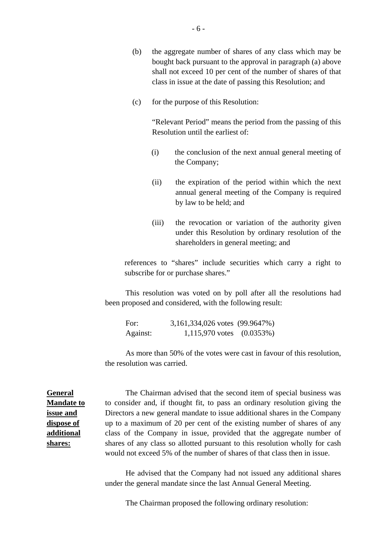- (b) the aggregate number of shares of any class which may be bought back pursuant to the approval in paragraph (a) above shall not exceed 10 per cent of the number of shares of that class in issue at the date of passing this Resolution; and
- (c) for the purpose of this Resolution:

 "Relevant Period" means the period from the passing of this Resolution until the earliest of:

- (i) the conclusion of the next annual general meeting of the Company;
- (ii) the expiration of the period within which the next annual general meeting of the Company is required by law to be held; and
- (iii) the revocation or variation of the authority given under this Resolution by ordinary resolution of the shareholders in general meeting; and

references to "shares" include securities which carry a right to subscribe for or purchase shares."

This resolution was voted on by poll after all the resolutions had been proposed and considered, with the following result:

For: 3,161,334,026 votes (99.9647%) Against: 1,115,970 votes (0.0353%)

As more than 50% of the votes were cast in favour of this resolution, the resolution was carried.

**General Mandate to issue and dispose of additional shares:**

The Chairman advised that the second item of special business was to consider and, if thought fit, to pass an ordinary resolution giving the Directors a new general mandate to issue additional shares in the Company up to a maximum of 20 per cent of the existing number of shares of any class of the Company in issue, provided that the aggregate number of shares of any class so allotted pursuant to this resolution wholly for cash would not exceed 5% of the number of shares of that class then in issue.

 He advised that the Company had not issued any additional shares under the general mandate since the last Annual General Meeting.

The Chairman proposed the following ordinary resolution: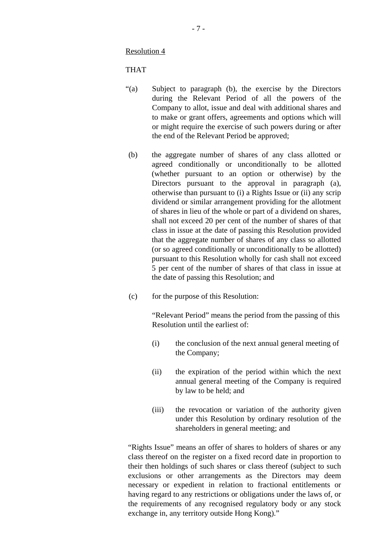Resolution 4

THAT

- "(a) Subject to paragraph (b), the exercise by the Directors during the Relevant Period of all the powers of the Company to allot, issue and deal with additional shares and to make or grant offers, agreements and options which will or might require the exercise of such powers during or after the end of the Relevant Period be approved;
- (b) the aggregate number of shares of any class allotted or agreed conditionally or unconditionally to be allotted (whether pursuant to an option or otherwise) by the Directors pursuant to the approval in paragraph (a), otherwise than pursuant to (i) a Rights Issue or (ii) any scrip dividend or similar arrangement providing for the allotment of shares in lieu of the whole or part of a dividend on shares, shall not exceed 20 per cent of the number of shares of that class in issue at the date of passing this Resolution provided that the aggregate number of shares of any class so allotted (or so agreed conditionally or unconditionally to be allotted) pursuant to this Resolution wholly for cash shall not exceed 5 per cent of the number of shares of that class in issue at the date of passing this Resolution; and
- (c) for the purpose of this Resolution:

"Relevant Period" means the period from the passing of this Resolution until the earliest of:

- (i) the conclusion of the next annual general meeting of the Company;
- (ii) the expiration of the period within which the next annual general meeting of the Company is required by law to be held; and
- (iii) the revocation or variation of the authority given under this Resolution by ordinary resolution of the shareholders in general meeting; and

"Rights Issue" means an offer of shares to holders of shares or any class thereof on the register on a fixed record date in proportion to their then holdings of such shares or class thereof (subject to such exclusions or other arrangements as the Directors may deem necessary or expedient in relation to fractional entitlements or having regard to any restrictions or obligations under the laws of, or the requirements of any recognised regulatory body or any stock exchange in, any territory outside Hong Kong)."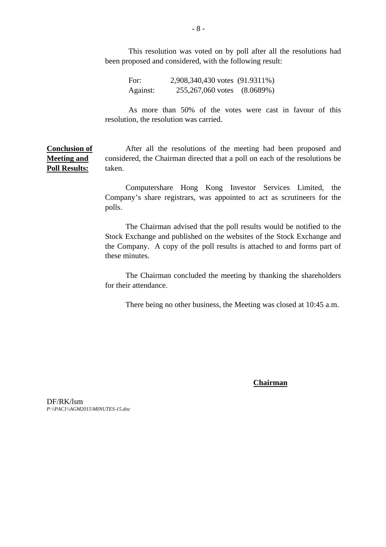This resolution was voted on by poll after all the resolutions had been proposed and considered, with the following result:

For: 2,908,340,430 votes (91.9311%) Against: 255,267,060 votes (8.0689%)

As more than 50% of the votes were cast in favour of this resolution, the resolution was carried.

**Conclusion of Meeting and Poll Results:** After all the resolutions of the meeting had been proposed and considered, the Chairman directed that a poll on each of the resolutions be taken.

> Computershare Hong Kong Investor Services Limited, the Company's share registrars, was appointed to act as scrutineers for the polls.

> The Chairman advised that the poll results would be notified to the Stock Exchange and published on the websites of the Stock Exchange and the Company. A copy of the poll results is attached to and forms part of these minutes.

> The Chairman concluded the meeting by thanking the shareholders for their attendance.

There being no other business, the Meeting was closed at 10:45 a.m.

**Chairman**

DF/RK/lsm *P:\\PAC1\\AGM2015\MINUTES-15.doc*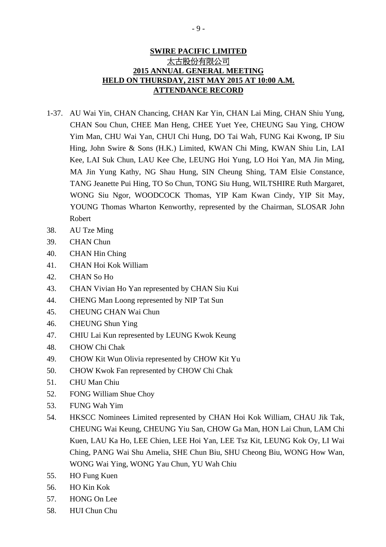## **SWIRE PACIFIC LIMITED** 太古股份有限公司 **2015 ANNUAL GENERAL MEETING HELD ON THURSDAY, 21ST MAY 2015 AT 10:00 A.M. ATTENDANCE RECORD**

- 1-37. AU Wai Yin, CHAN Chancing, CHAN Kar Yin, CHAN Lai Ming, CHAN Shiu Yung, CHAN Sou Chun, CHEE Man Heng, CHEE Yuet Yee, CHEUNG Sau Ying, CHOW Yim Man, CHU Wai Yan, CHUI Chi Hung, DO Tai Wah, FUNG Kai Kwong, IP Siu Hing, John Swire & Sons (H.K.) Limited, KWAN Chi Ming, KWAN Shiu Lin, LAI Kee, LAI Suk Chun, LAU Kee Che, LEUNG Hoi Yung, LO Hoi Yan, MA Jin Ming, MA Jin Yung Kathy, NG Shau Hung, SIN Cheung Shing, TAM Elsie Constance, TANG Jeanette Pui Hing, TO So Chun, TONG Siu Hung, WILTSHIRE Ruth Margaret, WONG Siu Ngor, WOODCOCK Thomas, YIP Kam Kwan Cindy, YIP Sit May, YOUNG Thomas Wharton Kenworthy, represented by the Chairman, SLOSAR John Robert
- 38. AU Tze Ming
- 39. CHAN Chun
- 40. CHAN Hin Ching
- 41. CHAN Hoi Kok William
- 42. CHAN So Ho
- 43. CHAN Vivian Ho Yan represented by CHAN Siu Kui
- 44. CHENG Man Loong represented by NIP Tat Sun
- 45. CHEUNG CHAN Wai Chun
- 46. CHEUNG Shun Ying
- 47. CHIU Lai Kun represented by LEUNG Kwok Keung
- 48. CHOW Chi Chak
- 49. CHOW Kit Wun Olivia represented by CHOW Kit Yu
- 50. CHOW Kwok Fan represented by CHOW Chi Chak
- 51. CHU Man Chiu
- 52. FONG William Shue Choy
- 53. FUNG Wah Yim
- 54. HKSCC Nominees Limited represented by CHAN Hoi Kok William, CHAU Jik Tak, CHEUNG Wai Keung, CHEUNG Yiu San, CHOW Ga Man, HON Lai Chun, LAM Chi Kuen, LAU Ka Ho, LEE Chien, LEE Hoi Yan, LEE Tsz Kit, LEUNG Kok Oy, LI Wai Ching, PANG Wai Shu Amelia, SHE Chun Biu, SHU Cheong Biu, WONG How Wan, WONG Wai Ying, WONG Yau Chun, YU Wah Chiu
- 55. HO Fung Kuen
- 56. HO Kin Kok
- 57. HONG On Lee
- 58. HUI Chun Chu